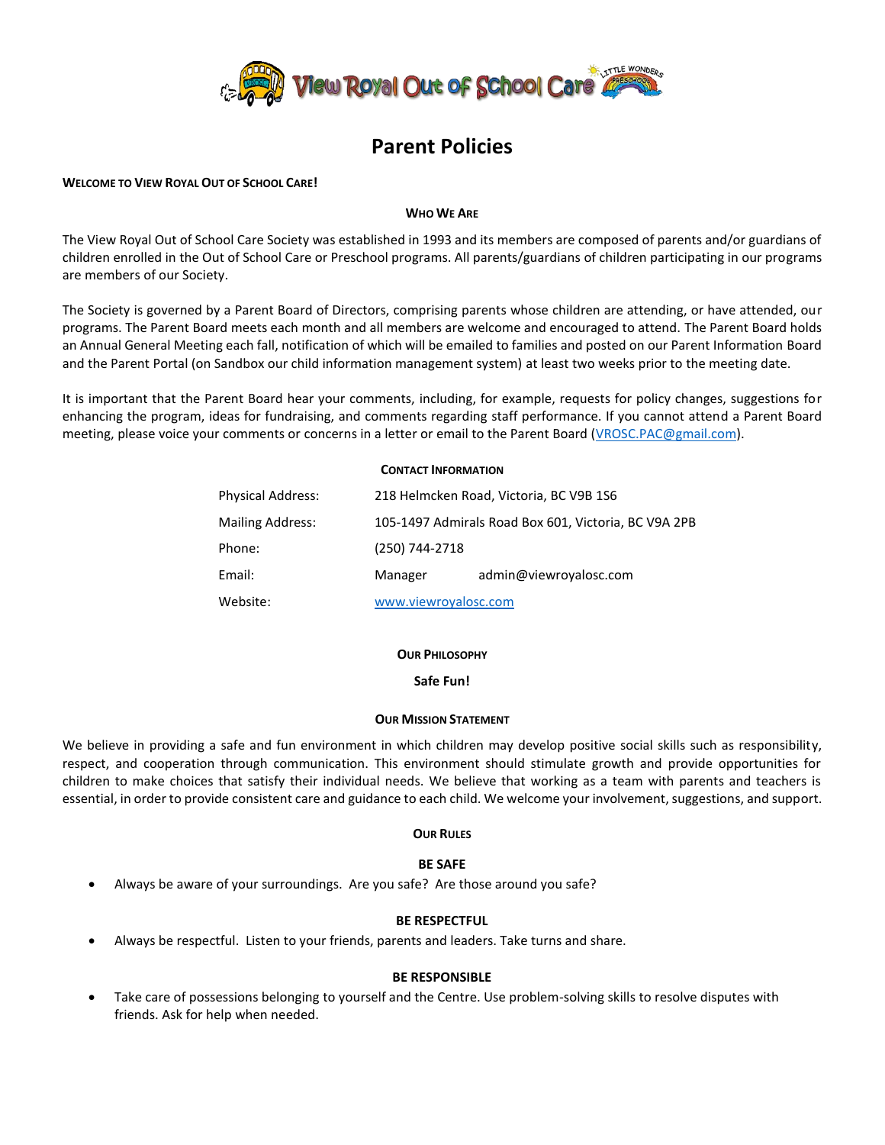

# **Parent Policies**

# **WELCOME TO VIEW ROYAL OUT OF SCHOOL CARE!**

# **WHO WE ARE**

The View Royal Out of School Care Society was established in 1993 and its members are composed of parents and/or guardians of children enrolled in the Out of School Care or Preschool programs. All parents/guardians of children participating in our programs are members of our Society.

The Society is governed by a Parent Board of Directors, comprising parents whose children are attending, or have attended, our programs. The Parent Board meets each month and all members are welcome and encouraged to attend. The Parent Board holds an Annual General Meeting each fall, notification of which will be emailed to families and posted on our Parent Information Board and the Parent Portal (on Sandbox our child information management system) at least two weeks prior to the meeting date.

It is important that the Parent Board hear your comments, including, for example, requests for policy changes, suggestions for enhancing the program, ideas for fundraising, and comments regarding staff performance. If you cannot attend a Parent Board meeting, please voice your comments or concerns in a letter or email to the Parent Board [\(VROSC.PAC@gmail.com\)](mailto:VROSC.PAC@gmail.com).

# **CONTACT INFORMATION**

| <b>Physical Address:</b> | 218 Helmcken Road, Victoria, BC V9B 1S6              |                        |
|--------------------------|------------------------------------------------------|------------------------|
| <b>Mailing Address:</b>  | 105-1497 Admirals Road Box 601, Victoria, BC V9A 2PB |                        |
| Phone:                   | (250) 744-2718                                       |                        |
| Email:                   | Manager                                              | admin@viewroyalosc.com |
| Website:                 | www.viewroyalosc.com                                 |                        |

# **OUR PHILOSOPHY**

# **Safe Fun!**

# **OUR MISSION STATEMENT**

We believe in providing a safe and fun environment in which children may develop positive social skills such as responsibility, respect, and cooperation through communication. This environment should stimulate growth and provide opportunities for children to make choices that satisfy their individual needs. We believe that working as a team with parents and teachers is essential, in order to provide consistent care and guidance to each child. We welcome your involvement, suggestions, and support.

# **OUR RULES**

# **BE SAFE**

Always be aware of your surroundings. Are you safe? Are those around you safe?

# **BE RESPECTFUL**

Always be respectful. Listen to your friends, parents and leaders. Take turns and share.

# **BE RESPONSIBLE**

 Take care of possessions belonging to yourself and the Centre. Use problem-solving skills to resolve disputes with friends. Ask for help when needed.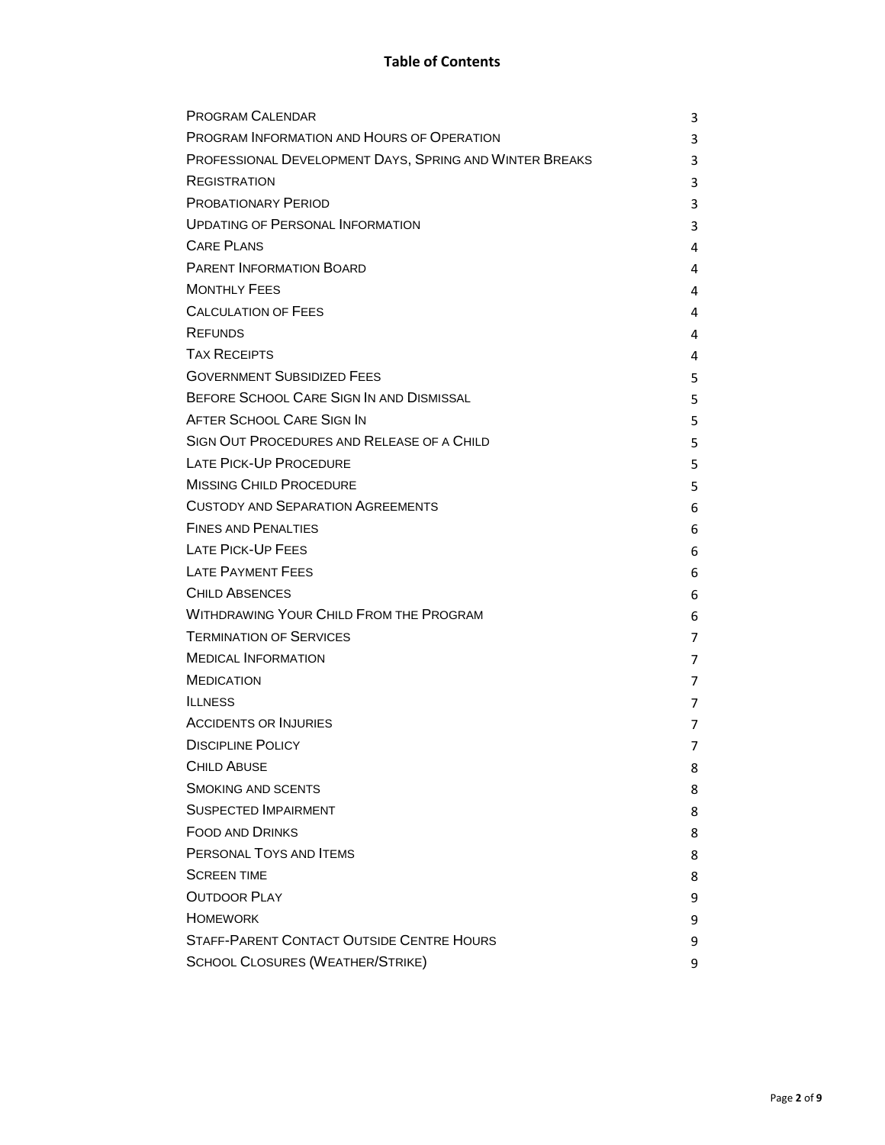| <b>PROGRAM CALENDAR</b>                                 | 3 |
|---------------------------------------------------------|---|
| PROGRAM INFORMATION AND HOURS OF OPERATION              | 3 |
| PROFESSIONAL DEVELOPMENT DAYS, SPRING AND WINTER BREAKS | 3 |
| REGISTRATION                                            | 3 |
| <b>PROBATIONARY PERIOD</b>                              | 3 |
| <b>UPDATING OF PERSONAL INFORMATION</b>                 | 3 |
| <b>CARE PLANS</b>                                       | 4 |
| <b>PARENT INFORMATION BOARD</b>                         | 4 |
| <b>MONTHLY FEES</b>                                     | 4 |
| <b>CALCULATION OF FEES</b>                              | 4 |
| <b>REFUNDS</b>                                          | 4 |
| <b>TAX RECEIPTS</b>                                     | 4 |
| <b>GOVERNMENT SUBSIDIZED FEES</b>                       | 5 |
| BEFORE SCHOOL CARE SIGN IN AND DISMISSAL                | 5 |
| AFTER SCHOOL CARE SIGN IN                               | 5 |
| SIGN OUT PROCEDURES AND RELEASE OF A CHILD              | 5 |
| LATE PICK-UP PROCEDURE                                  | 5 |
| <b>MISSING CHILD PROCEDURE</b>                          | 5 |
| <b>CUSTODY AND SEPARATION AGREEMENTS</b>                | 6 |
| <b>FINES AND PENALTIES</b>                              | 6 |
| LATE PICK-UP FEES                                       | 6 |
| <b>LATE PAYMENT FEES</b>                                | 6 |
| <b>CHILD ABSENCES</b>                                   | 6 |
| <b>WITHDRAWING YOUR CHILD FROM THE PROGRAM</b>          | 6 |
| <b>TERMINATION OF SERVICES</b>                          | 7 |
| <b>MEDICAL INFORMATION</b>                              | 7 |
| <b>MEDICATION</b>                                       | 7 |
| <b>ILLNESS</b>                                          | 7 |
| <b>ACCIDENTS OR INJURIES</b>                            | 7 |
| <b>DISCIPLINE POLICY</b>                                | 7 |
| <b>CHILD ABUSE</b>                                      | 8 |
| <b>SMOKING AND SCENTS</b>                               | 8 |
| <b>SUSPECTED IMPAIRMENT</b>                             | 8 |
| <b>FOOD AND DRINKS</b>                                  | 8 |
| PERSONAL TOYS AND ITEMS                                 | 8 |
| <b>SCREEN TIME</b>                                      | 8 |
| <b>OUTDOOR PLAY</b>                                     | 9 |
| <b>HOMEWORK</b>                                         | 9 |
| <b>STAFF-PARENT CONTACT OUTSIDE CENTRE HOURS</b>        | 9 |
| <b>SCHOOL CLOSURES (WEATHER/STRIKE)</b>                 | 9 |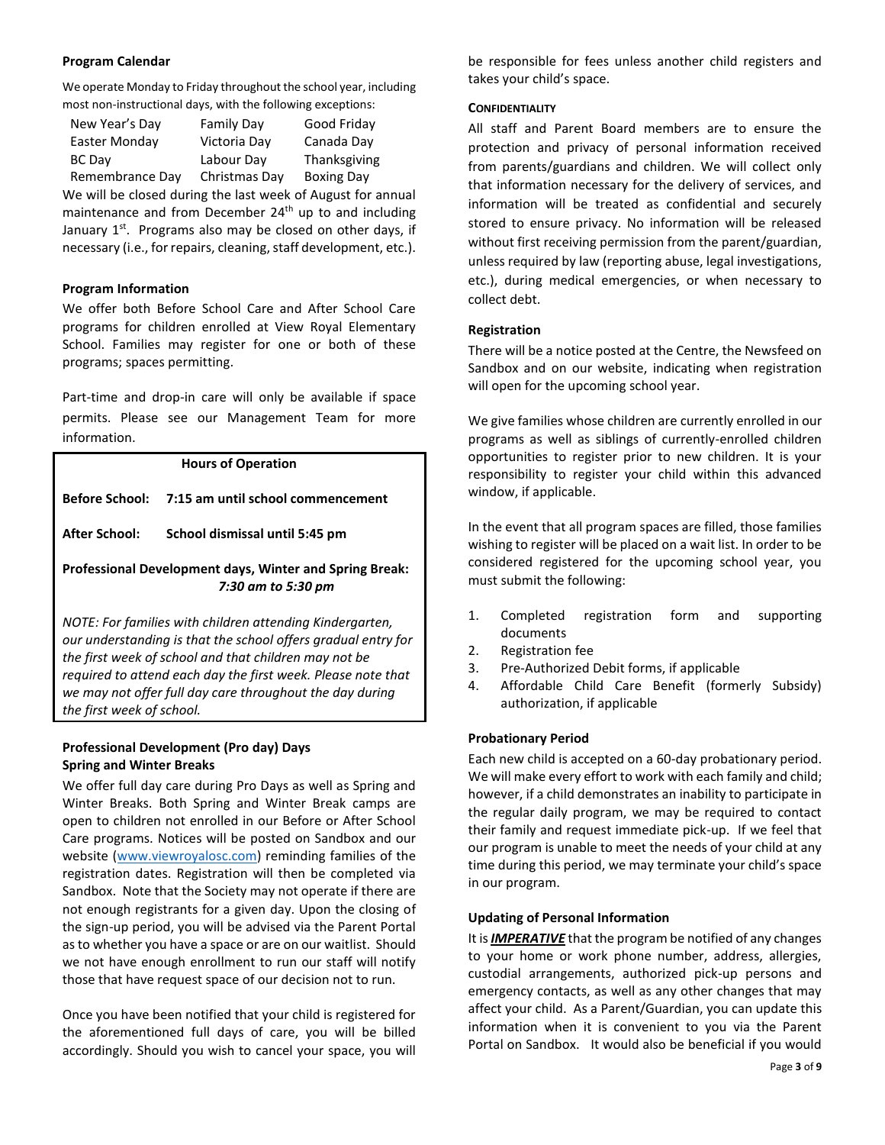# **Program Calendar**

We operate Monday to Friday throughout the school year, including most non-instructional days, with the following exceptions:

| New Year's Day  | Family Day    | Good Friday       |
|-----------------|---------------|-------------------|
| Easter Monday   | Victoria Day  | Canada Day        |
| <b>BC Day</b>   | Labour Dav    | Thanksgiving      |
| Remembrance Day | Christmas Day | <b>Boxing Day</b> |

We will be closed during the last week of August for annual maintenance and from December 24<sup>th</sup> up to and including January  $1<sup>st</sup>$ . Programs also may be closed on other days, if necessary (i.e., for repairs, cleaning, staff development, etc.).

# **Program Information**

We offer both Before School Care and After School Care programs for children enrolled at View Royal Elementary School. Families may register for one or both of these programs; spaces permitting.

Part-time and drop-in care will only be available if space permits. Please see our Management Team for more information.

# **Hours of Operation Before School: 7:15 am until school commencement After School: School dismissal until 5:45 pm Professional Development days, Winter and Spring Break:**  *7:30 am to 5:30 pm NOTE: For families with children attending Kindergarten,*

*our understanding is that the school offers gradual entry for the first week of school and that children may not be required to attend each day the first week. Please note that we may not offer full day care throughout the day during the first week of school.* 

# **Professional Development (Pro day) Days Spring and Winter Breaks**

We offer full day care during Pro Days as well as Spring and Winter Breaks. Both Spring and Winter Break camps are open to children not enrolled in our Before or After School Care programs. Notices will be posted on Sandbox and our website [\(www.viewroyalosc.com\)](http://www.viewroyalosc.com/) reminding families of the registration dates. Registration will then be completed via Sandbox. Note that the Society may not operate if there are not enough registrants for a given day. Upon the closing of the sign-up period, you will be advised via the Parent Portal as to whether you have a space or are on our waitlist. Should we not have enough enrollment to run our staff will notify those that have request space of our decision not to run.

Once you have been notified that your child is registered for the aforementioned full days of care, you will be billed accordingly. Should you wish to cancel your space, you will be responsible for fees unless another child registers and takes your child's space.

# **CONFIDENTIALITY**

All staff and Parent Board members are to ensure the protection and privacy of personal information received from parents/guardians and children. We will collect only that information necessary for the delivery of services, and information will be treated as confidential and securely stored to ensure privacy. No information will be released without first receiving permission from the parent/guardian, unless required by law (reporting abuse, legal investigations, etc.), during medical emergencies, or when necessary to collect debt.

# **Registration**

There will be a notice posted at the Centre, the Newsfeed on Sandbox and on our website, indicating when registration will open for the upcoming school year.

We give families whose children are currently enrolled in our programs as well as siblings of currently-enrolled children opportunities to register prior to new children. It is your responsibility to register your child within this advanced window, if applicable.

In the event that all program spaces are filled, those families wishing to register will be placed on a wait list. In order to be considered registered for the upcoming school year, you must submit the following:

- 1. Completed registration form and supporting documents
- 2. Registration fee
- 3. Pre-Authorized Debit forms, if applicable
- 4. Affordable Child Care Benefit (formerly Subsidy) authorization, if applicable

# **Probationary Period**

Each new child is accepted on a 60-day probationary period. We will make every effort to work with each family and child; however, if a child demonstrates an inability to participate in the regular daily program, we may be required to contact their family and request immediate pick-up. If we feel that our program is unable to meet the needs of your child at any time during this period, we may terminate your child's space in our program.

# **Updating of Personal Information**

It is *IMPERATIVE* that the program be notified of any changes to your home or work phone number, address, allergies, custodial arrangements, authorized pick-up persons and emergency contacts, as well as any other changes that may affect your child. As a Parent/Guardian, you can update this information when it is convenient to you via the Parent Portal on Sandbox. It would also be beneficial if you would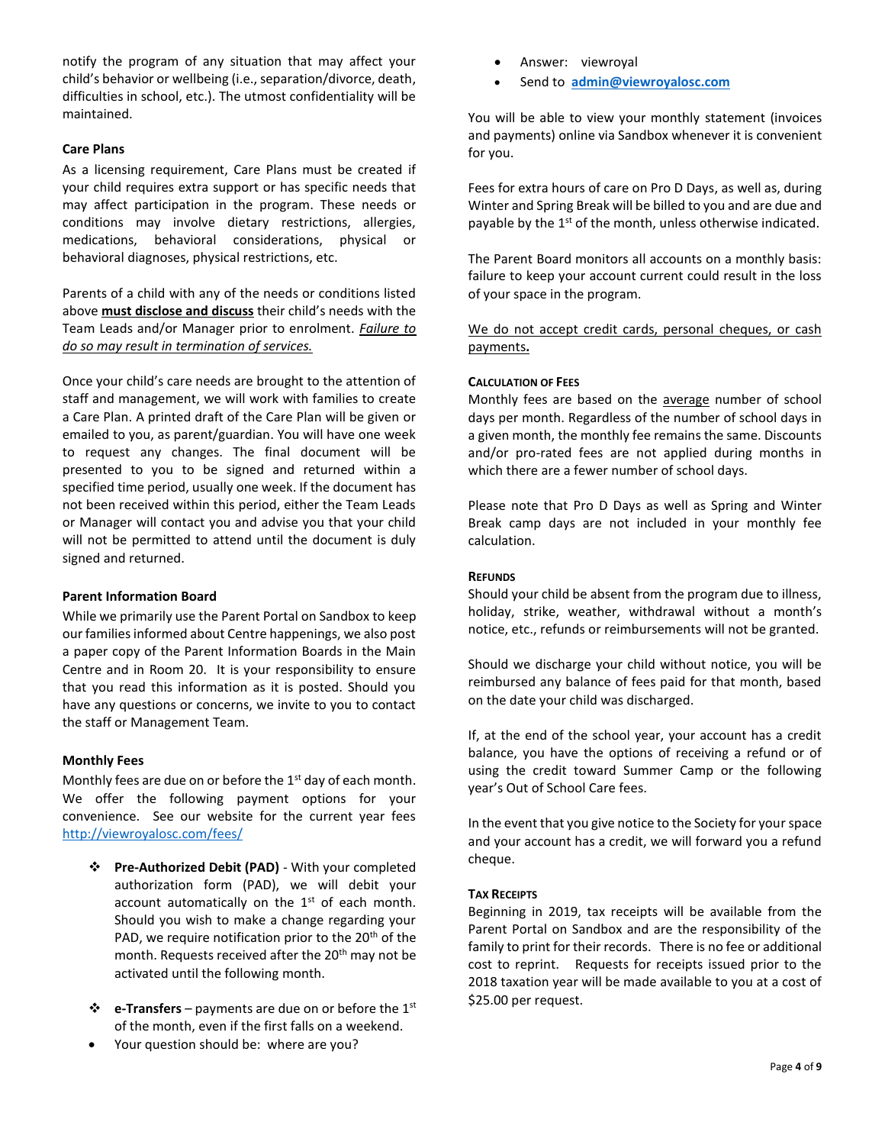notify the program of any situation that may affect your child's behavior or wellbeing (i.e., separation/divorce, death, difficulties in school, etc.). The utmost confidentiality will be maintained.

# **Care Plans**

As a licensing requirement, Care Plans must be created if your child requires extra support or has specific needs that may affect participation in the program. These needs or conditions may involve dietary restrictions, allergies, medications, behavioral considerations, physical or behavioral diagnoses, physical restrictions, etc.

Parents of a child with any of the needs or conditions listed above **must disclose and discuss** their child's needs with the Team Leads and/or Manager prior to enrolment. *Failure to do so may result in termination of services.* 

Once your child's care needs are brought to the attention of staff and management, we will work with families to create a Care Plan. A printed draft of the Care Plan will be given or emailed to you, as parent/guardian. You will have one week to request any changes. The final document will be presented to you to be signed and returned within a specified time period, usually one week. If the document has not been received within this period, either the Team Leads or Manager will contact you and advise you that your child will not be permitted to attend until the document is duly signed and returned.

# **Parent Information Board**

While we primarily use the Parent Portal on Sandbox to keep our families informed about Centre happenings, we also post a paper copy of the Parent Information Boards in the Main Centre and in Room 20. It is your responsibility to ensure that you read this information as it is posted. Should you have any questions or concerns, we invite to you to contact the staff or Management Team.

# **Monthly Fees**

Monthly fees are due on or before the  $1<sup>st</sup>$  day of each month. We offer the following payment options for your convenience. See our website for the current year fees <http://viewroyalosc.com/fees/>

- **Pre-Authorized Debit (PAD)** With your completed authorization form (PAD), we will debit your account automatically on the  $1<sup>st</sup>$  of each month. Should you wish to make a change regarding your PAD, we require notification prior to the  $20<sup>th</sup>$  of the month. Requests received after the 20<sup>th</sup> may not be activated until the following month.
- **e-Transfers**  payments are due on or before the 1st of the month, even if the first falls on a weekend.
- Your question should be: where are you?
- Answer: viewroyal
- Send to **[admin@viewroyalosc.com](mailto:admin@viewroyalosc.com)**

You will be able to view your monthly statement (invoices and payments) online via Sandbox whenever it is convenient for you.

Fees for extra hours of care on Pro D Days, as well as, during Winter and Spring Break will be billed to you and are due and payable by the  $1<sup>st</sup>$  of the month, unless otherwise indicated.

The Parent Board monitors all accounts on a monthly basis: failure to keep your account current could result in the loss of your space in the program.

We do not accept credit cards, personal cheques, or cash payments**.** 

# **CALCULATION OF FEES**

Monthly fees are based on the average number of school days per month. Regardless of the number of school days in a given month, the monthly fee remains the same. Discounts and/or pro-rated fees are not applied during months in which there are a fewer number of school days.

Please note that Pro D Days as well as Spring and Winter Break camp days are not included in your monthly fee calculation.

# **REFUNDS**

Should your child be absent from the program due to illness, holiday, strike, weather, withdrawal without a month's notice, etc., refunds or reimbursements will not be granted.

Should we discharge your child without notice, you will be reimbursed any balance of fees paid for that month, based on the date your child was discharged.

If, at the end of the school year, your account has a credit balance, you have the options of receiving a refund or of using the credit toward Summer Camp or the following year's Out of School Care fees.

In the event that you give notice to the Society for your space and your account has a credit, we will forward you a refund cheque.

# **TAX RECEIPTS**

Beginning in 2019, tax receipts will be available from the Parent Portal on Sandbox and are the responsibility of the family to print for their records. There is no fee or additional cost to reprint. Requests for receipts issued prior to the 2018 taxation year will be made available to you at a cost of \$25.00 per request.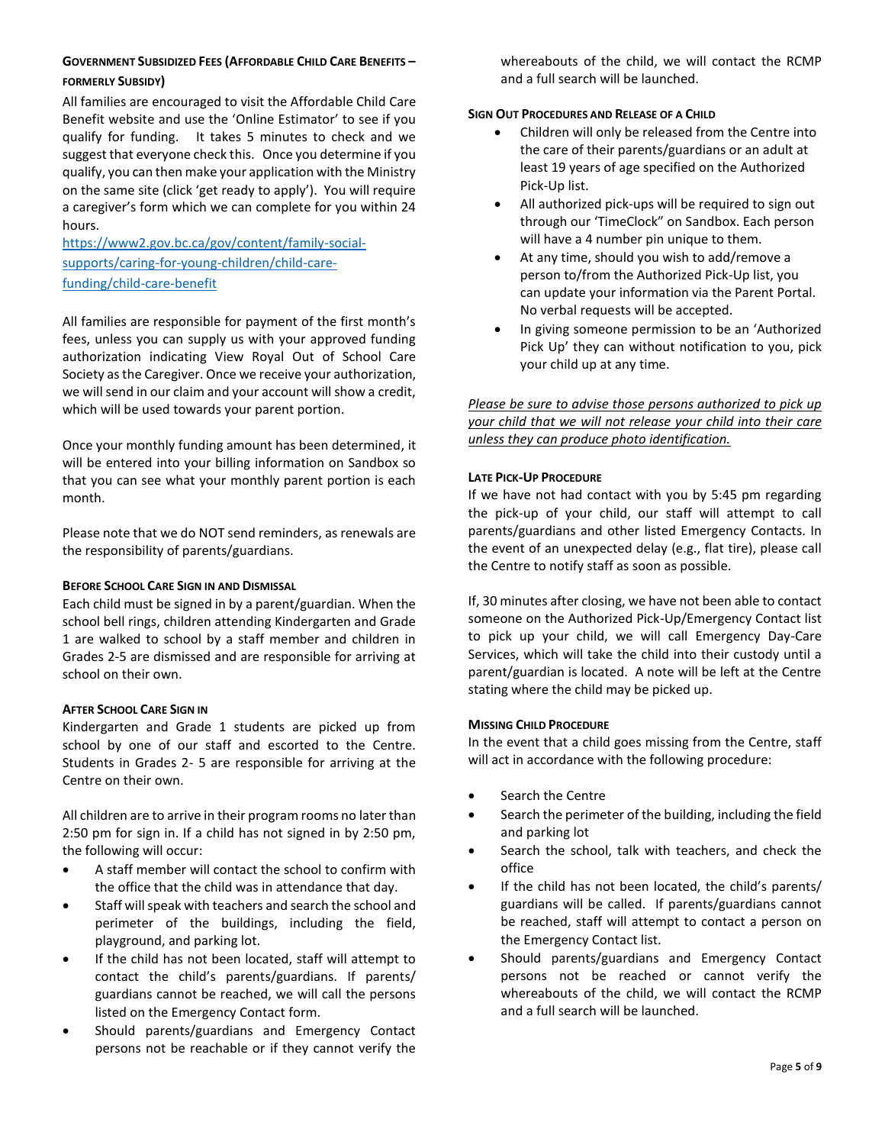# **GOVERNMENT SUBSIDIZED FEES (AFFORDABLE CHILD CARE BENEFITS – FORMERLY SUBSIDY)**

All families are encouraged to visit the Affordable Child Care Benefit website and use the 'Online Estimator' to see if you qualify for funding. It takes 5 minutes to check and we suggest that everyone check this. Once you determine if you qualify, you can then make your application with the Ministry on the same site (click 'get ready to apply'). You will require a caregiver's form which we can complete for you within 24 hours.

[https://www2.gov.bc.ca/gov/content/family-social](https://www2.gov.bc.ca/gov/content/family-social-supports/caring-for-young-children/child-care-funding/child-care-benefit)[supports/caring-for-young-children/child-care](https://www2.gov.bc.ca/gov/content/family-social-supports/caring-for-young-children/child-care-funding/child-care-benefit)[funding/child-care-benefit](https://www2.gov.bc.ca/gov/content/family-social-supports/caring-for-young-children/child-care-funding/child-care-benefit)

All families are responsible for payment of the first month's fees, unless you can supply us with your approved funding authorization indicating View Royal Out of School Care Society as the Caregiver. Once we receive your authorization, we will send in our claim and your account will show a credit, which will be used towards your parent portion.

Once your monthly funding amount has been determined, it will be entered into your billing information on Sandbox so that you can see what your monthly parent portion is each month.

Please note that we do NOT send reminders, as renewals are the responsibility of parents/guardians.

# **BEFORE SCHOOL CARE SIGN IN AND DISMISSAL**

Each child must be signed in by a parent/guardian. When the school bell rings, children attending Kindergarten and Grade 1 are walked to school by a staff member and children in Grades 2-5 are dismissed and are responsible for arriving at school on their own.

# **AFTER SCHOOL CARE SIGN IN**

Kindergarten and Grade 1 students are picked up from school by one of our staff and escorted to the Centre. Students in Grades 2- 5 are responsible for arriving at the Centre on their own.

All children are to arrive in their program rooms no later than 2:50 pm for sign in. If a child has not signed in by 2:50 pm, the following will occur:

- A staff member will contact the school to confirm with the office that the child was in attendance that day.
- Staff will speak with teachers and search the school and perimeter of the buildings, including the field, playground, and parking lot.
- If the child has not been located, staff will attempt to contact the child's parents/guardians. If parents/ guardians cannot be reached, we will call the persons listed on the Emergency Contact form.
- Should parents/guardians and Emergency Contact persons not be reachable or if they cannot verify the

whereabouts of the child, we will contact the RCMP and a full search will be launched.

# **SIGN OUT PROCEDURES AND RELEASE OF A CHILD**

- Children will only be released from the Centre into the care of their parents/guardians or an adult at least 19 years of age specified on the Authorized Pick-Up list.
- All authorized pick-ups will be required to sign out through our 'TimeClock" on Sandbox. Each person will have a 4 number pin unique to them.
- At any time, should you wish to add/remove a person to/from the Authorized Pick-Up list, you can update your information via the Parent Portal. No verbal requests will be accepted.
- In giving someone permission to be an 'Authorized Pick Up' they can without notification to you, pick your child up at any time.

*Please be sure to advise those persons authorized to pick up your child that we will not release your child into their care unless they can produce photo identification.*

# **LATE PICK-UP PROCEDURE**

If we have not had contact with you by 5:45 pm regarding the pick-up of your child, our staff will attempt to call parents/guardians and other listed Emergency Contacts. In the event of an unexpected delay (e.g., flat tire), please call the Centre to notify staff as soon as possible.

If, 30 minutes after closing, we have not been able to contact someone on the Authorized Pick-Up/Emergency Contact list to pick up your child, we will call Emergency Day-Care Services, which will take the child into their custody until a parent/guardian is located. A note will be left at the Centre stating where the child may be picked up.

# **MISSING CHILD PROCEDURE**

In the event that a child goes missing from the Centre, staff will act in accordance with the following procedure:

- Search the Centre
- Search the perimeter of the building, including the field and parking lot
- Search the school, talk with teachers, and check the office
- If the child has not been located, the child's parents/ guardians will be called. If parents/guardians cannot be reached, staff will attempt to contact a person on the Emergency Contact list.
- Should parents/guardians and Emergency Contact persons not be reached or cannot verify the whereabouts of the child, we will contact the RCMP and a full search will be launched.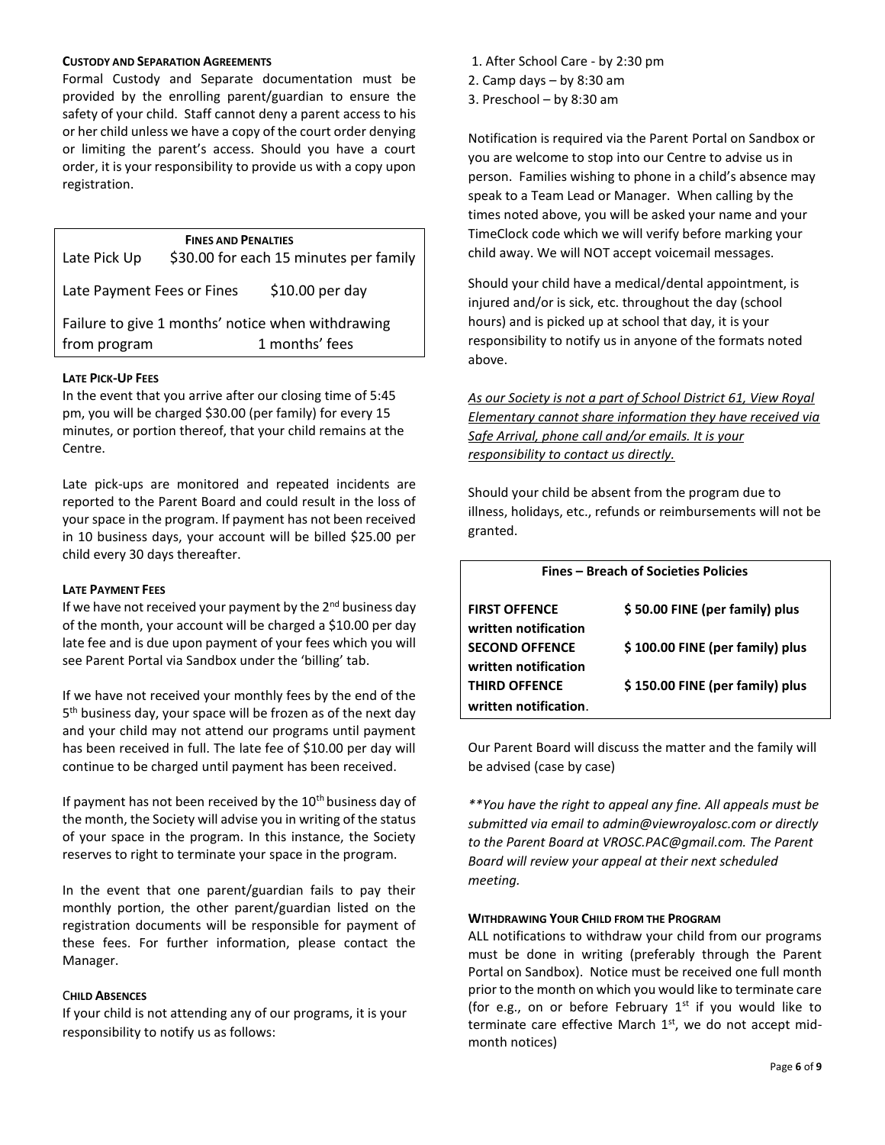#### **CUSTODY AND SEPARATION AGREEMENTS**

Formal Custody and Separate documentation must be provided by the enrolling parent/guardian to ensure the safety of your child. Staff cannot deny a parent access to his or her child unless we have a copy of the court order denying or limiting the parent's access. Should you have a court order, it is your responsibility to provide us with a copy upon registration.

**FINES AND PENALTIES** Late Pick Up \$30.00 for each 15 minutes per family Late Payment Fees or Fines \$10.00 per day Failure to give 1 months' notice when withdrawing from program 1 months' fees

# **LATE PICK-UP FEES**

In the event that you arrive after our closing time of 5:45 pm, you will be charged \$30.00 (per family) for every 15 minutes, or portion thereof, that your child remains at the Centre.

Late pick-ups are monitored and repeated incidents are reported to the Parent Board and could result in the loss of your space in the program. If payment has not been received in 10 business days, your account will be billed \$25.00 per child every 30 days thereafter.

# **LATE PAYMENT FEES**

If we have not received your payment by the  $2^{nd}$  business day of the month, your account will be charged a \$10.00 per day late fee and is due upon payment of your fees which you will see Parent Portal via Sandbox under the 'billing' tab.

If we have not received your monthly fees by the end of the 5<sup>th</sup> business day, your space will be frozen as of the next day and your child may not attend our programs until payment has been received in full. The late fee of \$10.00 per day will continue to be charged until payment has been received.

If payment has not been received by the  $10<sup>th</sup>$  business day of the month, the Society will advise you in writing of the status of your space in the program. In this instance, the Society reserves to right to terminate your space in the program.

In the event that one parent/guardian fails to pay their monthly portion, the other parent/guardian listed on the registration documents will be responsible for payment of these fees. For further information, please contact the Manager.

# C**HILD ABSENCES**

If your child is not attending any of our programs, it is your responsibility to notify us as follows:

- 1. After School Care by 2:30 pm
- 2. Camp days by 8:30 am
- 3. Preschool by 8:30 am

Notification is required via the Parent Portal on Sandbox or you are welcome to stop into our Centre to advise us in person. Families wishing to phone in a child's absence may speak to a Team Lead or Manager. When calling by the times noted above, you will be asked your name and your TimeClock code which we will verify before marking your child away. We will NOT accept voicemail messages.

Should your child have a medical/dental appointment, is injured and/or is sick, etc. throughout the day (school hours) and is picked up at school that day, it is your responsibility to notify us in anyone of the formats noted above.

*As our Society is not a part of School District 61, View Royal Elementary cannot share information they have received via Safe Arrival, phone call and/or emails. It is your responsibility to contact us directly.* 

Should your child be absent from the program due to illness, holidays, etc., refunds or reimbursements will not be granted.

| <b>Fines - Breach of Societies Policies</b>   |                                 |  |
|-----------------------------------------------|---------------------------------|--|
| <b>FIRST OFFENCE</b><br>written notification  | \$50.00 FINE (per family) plus  |  |
| <b>SECOND OFFENCE</b><br>written notification | \$100.00 FINE (per family) plus |  |
| <b>THIRD OFFENCE</b>                          | \$150.00 FINE (per family) plus |  |
| written notification.                         |                                 |  |

Our Parent Board will discuss the matter and the family will be advised (case by case)

*\*\*You have the right to appeal any fine. All appeals must be submitted via email to admin@viewroyalosc.com or directly to the Parent Board at VROSC.PAC@gmail.com. The Parent Board will review your appeal at their next scheduled meeting.*

# **WITHDRAWING YOUR CHILD FROM THE PROGRAM**

ALL notifications to withdraw your child from our programs must be done in writing (preferably through the Parent Portal on Sandbox). Notice must be received one full month prior to the month on which you would like to terminate care (for e.g., on or before February  $1<sup>st</sup>$  if you would like to terminate care effective March  $1<sup>st</sup>$ , we do not accept midmonth notices)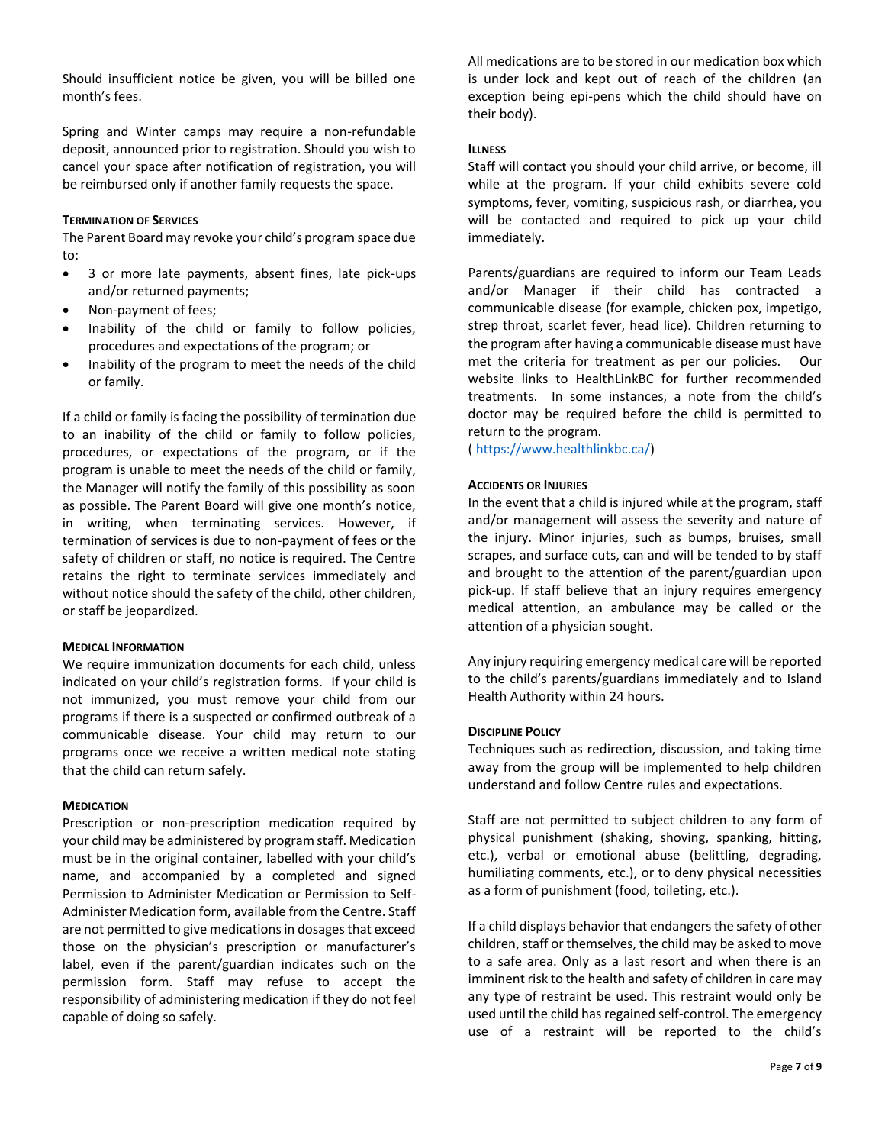Should insufficient notice be given, you will be billed one month's fees.

Spring and Winter camps may require a non-refundable deposit, announced prior to registration. Should you wish to cancel your space after notification of registration, you will be reimbursed only if another family requests the space.

#### **TERMINATION OF SERVICES**

The Parent Board may revoke your child's program space due to:

- 3 or more late payments, absent fines, late pick-ups and/or returned payments;
- Non-payment of fees;
- Inability of the child or family to follow policies, procedures and expectations of the program; or
- Inability of the program to meet the needs of the child or family.

If a child or family is facing the possibility of termination due to an inability of the child or family to follow policies, procedures, or expectations of the program, or if the program is unable to meet the needs of the child or family, the Manager will notify the family of this possibility as soon as possible. The Parent Board will give one month's notice, in writing, when terminating services. However, if termination of services is due to non-payment of fees or the safety of children or staff, no notice is required. The Centre retains the right to terminate services immediately and without notice should the safety of the child, other children, or staff be jeopardized.

# **MEDICAL INFORMATION**

We require immunization documents for each child, unless indicated on your child's registration forms. If your child is not immunized, you must remove your child from our programs if there is a suspected or confirmed outbreak of a communicable disease. Your child may return to our programs once we receive a written medical note stating that the child can return safely.

# **MEDICATION**

Prescription or non-prescription medication required by your child may be administered by program staff. Medication must be in the original container, labelled with your child's name, and accompanied by a completed and signed Permission to Administer Medication or Permission to Self-Administer Medication form, available from the Centre. Staff are not permitted to give medications in dosages that exceed those on the physician's prescription or manufacturer's label, even if the parent/guardian indicates such on the permission form. Staff may refuse to accept the responsibility of administering medication if they do not feel capable of doing so safely.

All medications are to be stored in our medication box which is under lock and kept out of reach of the children (an exception being epi-pens which the child should have on their body).

# **ILLNESS**

Staff will contact you should your child arrive, or become, ill while at the program. If your child exhibits severe cold symptoms, fever, vomiting, suspicious rash, or diarrhea, you will be contacted and required to pick up your child immediately.

Parents/guardians are required to inform our Team Leads and/or Manager if their child has contracted a communicable disease (for example, chicken pox, impetigo, strep throat, scarlet fever, head lice). Children returning to the program after having a communicable disease must have met the criteria for treatment as per our policies. Our website links to HealthLinkBC for further recommended treatments. In some instances, a note from the child's doctor may be required before the child is permitted to return to the program.

[\( https://www.healthlinkbc.ca/\)](https://www.healthlinkbc.ca/)

# **ACCIDENTS OR INJURIES**

In the event that a child is injured while at the program, staff and/or management will assess the severity and nature of the injury. Minor injuries, such as bumps, bruises, small scrapes, and surface cuts, can and will be tended to by staff and brought to the attention of the parent/guardian upon pick-up. If staff believe that an injury requires emergency medical attention, an ambulance may be called or the attention of a physician sought.

Any injury requiring emergency medical care will be reported to the child's parents/guardians immediately and to Island Health Authority within 24 hours.

# **DISCIPLINE POLICY**

Techniques such as redirection, discussion, and taking time away from the group will be implemented to help children understand and follow Centre rules and expectations.

Staff are not permitted to subject children to any form of physical punishment (shaking, shoving, spanking, hitting, etc.), verbal or emotional abuse (belittling, degrading, humiliating comments, etc.), or to deny physical necessities as a form of punishment (food, toileting, etc.).

If a child displays behavior that endangers the safety of other children, staff or themselves, the child may be asked to move to a safe area. Only as a last resort and when there is an imminent risk to the health and safety of children in care may any type of restraint be used. This restraint would only be used until the child has regained self-control. The emergency use of a restraint will be reported to the child's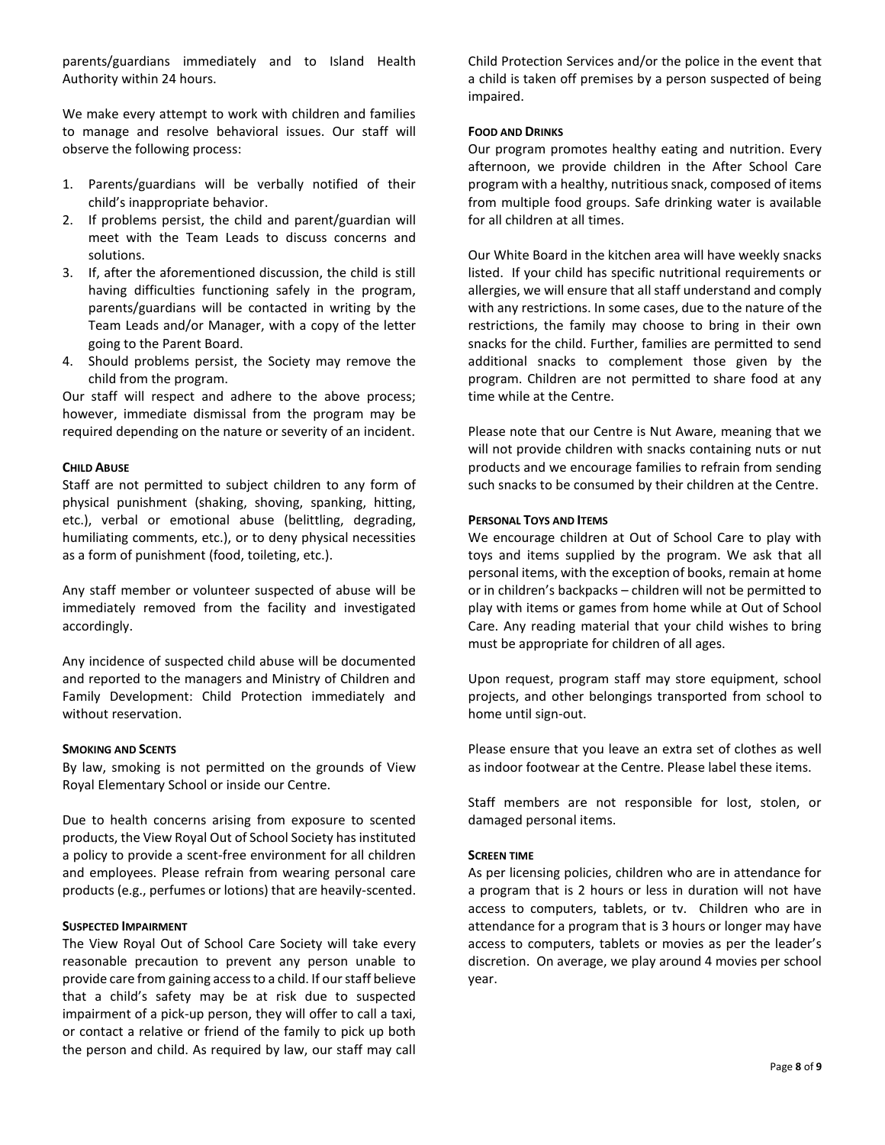parents/guardians immediately and to Island Health Authority within 24 hours.

We make every attempt to work with children and families to manage and resolve behavioral issues. Our staff will observe the following process:

- 1. Parents/guardians will be verbally notified of their child's inappropriate behavior.
- 2. If problems persist, the child and parent/guardian will meet with the Team Leads to discuss concerns and solutions.
- 3. If, after the aforementioned discussion, the child is still having difficulties functioning safely in the program, parents/guardians will be contacted in writing by the Team Leads and/or Manager, with a copy of the letter going to the Parent Board.
- 4. Should problems persist, the Society may remove the child from the program.

Our staff will respect and adhere to the above process; however, immediate dismissal from the program may be required depending on the nature or severity of an incident.

# **CHILD ABUSE**

Staff are not permitted to subject children to any form of physical punishment (shaking, shoving, spanking, hitting, etc.), verbal or emotional abuse (belittling, degrading, humiliating comments, etc.), or to deny physical necessities as a form of punishment (food, toileting, etc.).

Any staff member or volunteer suspected of abuse will be immediately removed from the facility and investigated accordingly.

Any incidence of suspected child abuse will be documented and reported to the managers and Ministry of Children and Family Development: Child Protection immediately and without reservation.

# **SMOKING AND SCENTS**

By law, smoking is not permitted on the grounds of View Royal Elementary School or inside our Centre.

Due to health concerns arising from exposure to scented products, the View Royal Out of School Society has instituted a policy to provide a scent-free environment for all children and employees. Please refrain from wearing personal care products (e.g., perfumes or lotions) that are heavily-scented.

# **SUSPECTED IMPAIRMENT**

The View Royal Out of School Care Society will take every reasonable precaution to prevent any person unable to provide care from gaining access to a child. If our staff believe that a child's safety may be at risk due to suspected impairment of a pick-up person, they will offer to call a taxi, or contact a relative or friend of the family to pick up both the person and child. As required by law, our staff may call Child Protection Services and/or the police in the event that a child is taken off premises by a person suspected of being impaired.

# **FOOD AND DRINKS**

Our program promotes healthy eating and nutrition. Every afternoon, we provide children in the After School Care program with a healthy, nutritious snack, composed of items from multiple food groups. Safe drinking water is available for all children at all times.

Our White Board in the kitchen area will have weekly snacks listed. If your child has specific nutritional requirements or allergies, we will ensure that all staff understand and comply with any restrictions. In some cases, due to the nature of the restrictions, the family may choose to bring in their own snacks for the child. Further, families are permitted to send additional snacks to complement those given by the program. Children are not permitted to share food at any time while at the Centre.

Please note that our Centre is Nut Aware, meaning that we will not provide children with snacks containing nuts or nut products and we encourage families to refrain from sending such snacks to be consumed by their children at the Centre.

# **PERSONAL TOYS AND ITEMS**

We encourage children at Out of School Care to play with toys and items supplied by the program. We ask that all personal items, with the exception of books, remain at home or in children's backpacks – children will not be permitted to play with items or games from home while at Out of School Care. Any reading material that your child wishes to bring must be appropriate for children of all ages.

Upon request, program staff may store equipment, school projects, and other belongings transported from school to home until sign-out.

Please ensure that you leave an extra set of clothes as well as indoor footwear at the Centre. Please label these items.

Staff members are not responsible for lost, stolen, or damaged personal items.

# **SCREEN TIME**

As per licensing policies, children who are in attendance for a program that is 2 hours or less in duration will not have access to computers, tablets, or tv. Children who are in attendance for a program that is 3 hours or longer may have access to computers, tablets or movies as per the leader's discretion. On average, we play around 4 movies per school year.